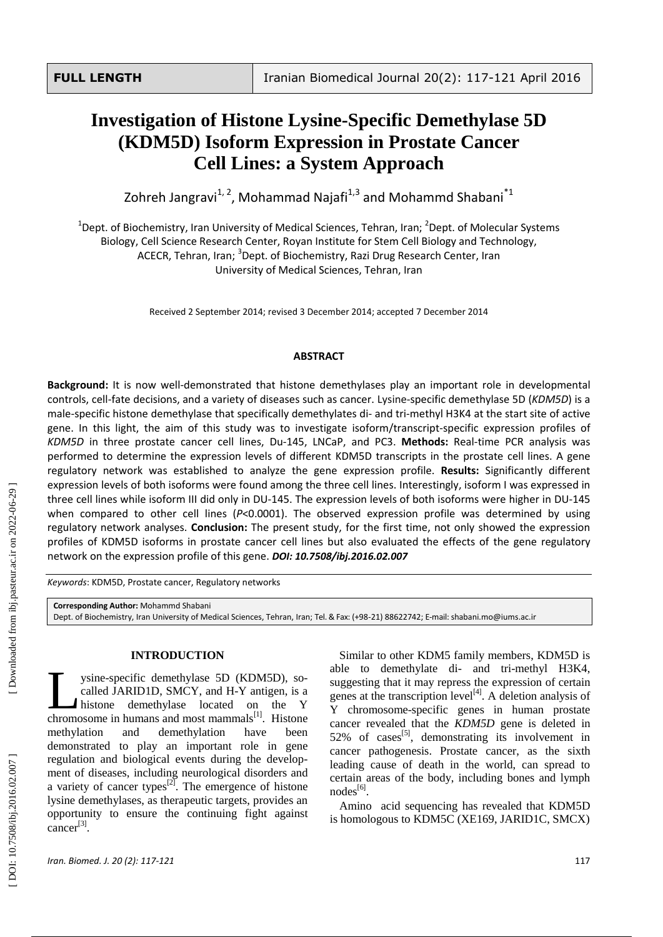# **Investigation of Histone Lysine -Specific Demethylase 5D (KDM5D) Isoform Expression in Prostate Cancer Cell Lines: a System Approach**

Zohreh Jangravi<sup>1, 2</sup>, Mohammad Najafi<sup>1,3</sup> and Mohammd Shabani<sup>\*1</sup>

<sup>1</sup>Dept. of Biochemistry, Iran University of Medical Sciences, Tehran, Iran; <sup>2</sup>Dept. of Molecular Systems Biology, Cell Science Research Center, Royan Institute for Stem Cell Biology and Technology, ACECR, Tehran, Iran; <sup>3</sup>Dept. of Biochemistry, Razi Drug Research Center, Iran

University of Medical Sciences, Tehran , Iran

Received 2 September 2014; revised 3 December 2014; accepted 7 December 2014

## **ABSTRACT**

Background: It is now well-demonstrated that histone demethylases play an important role in developmental controls, cell-fate decisions, and a variety of diseases such as cancer. Lysine-specific demethylase 5D (*KDM5D*) is a male -specific histone demethylase that specifically demethylates di - and tri -methyl H3K4 at the start site of active gene. In this light, the aim of this study was to investigate isoform/transcript -specific expression profiles of KDM5D in three prostate cancer cell lines, Du-145, LNCaP, and PC3. Methods: Real-time PCR analysis was performed to determine the expression levels of different KDM5D transcripts in the prostate cell lines. A gene regulatory network was established to analyze the gene expression profile. **Results:** Significantly different expression levels of both isoforms were found among the three cell lines. Interestingly, isoform I was expressed in three cell lines while isoform III did only in DU -145. The expression levels of both isoforms were higher in DU -145 when compared to other cell lines ( *P*<0.0001). The observed expression profile was determined by using regulatory network analyses. **Conclusion:** The present study, for the first time, not only showed the expression profile s of KDM5D isoforms in prostate cancer cell lines but also evaluated the effect s of the gene regulatory network on the expression profile of this gene. *DOI: 10 .7508/ibj.2016.02.007*

*Keywords*: KDM5D, Prostate cancer, Regulatory networks

**Corresponding Author:** Mohammd Shabani

Dept. of Biochemistry, Iran University of Medical Sciences, Tehran, Iran; Tel.& Fax: (+98 -21) 88622742 ; E -mail: shabani.mo@iums.ac.ir

## **INTRODUCTION**

ysine -specific demethylase 5D (KDM5D) , so called JARID1D, SMCY, and H-Y antigen, is a histone demethylase located on the Y ysine-specific demethylase 5D (KDM5D), so-<br>called JARID1D, SMCY, and H-Y antigen, is a<br>histone demethylase located on the Y<br>chromosome in humans and most mammals<sup>[1]</sup>. Histone methylation and demethylation have been demonstrated to play an important role in gene regulation and biological events during the develop ment of diseases , including neurological disorders and a variety of cancer types $^{[2]}$ . The emergence of histone lysine demethylases, as therapeutic targets , provides an opportunity to ensure the continuing fight against  $cancer^{[3]}$ .

Similar to other KDM5 family members, KDM5D is able to demethylate di- and tri-methyl H3K4, suggesting that it may repress the expression of certain genes at the transcription level<sup>[4]</sup>. A deletion analysis of Y chromosome -specific genes in human prostate cancer revealed that the *KDM5D* gene is deleted in 52% of cases<sup>[5]</sup>, demonstrating its involvement in cancer pathogenesis. Prostate cancer, as the sixth leading cause of death in the world, can spread to certain areas of the body, including bones and lymph nodes<sup>[6]</sup>.

Amino acid sequencing has revealed that KDM5D is homologous to KDM5C (XE169, JARID1C, SMCX)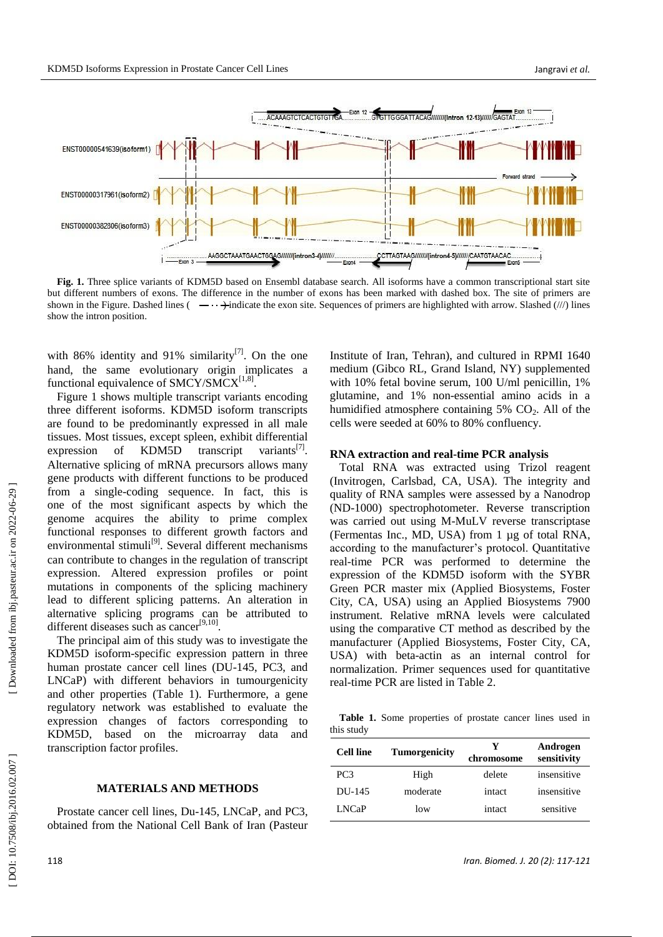

**Fig. 1.** Three splice variants of KDM5D based on Ensembl database search. All isoforms have a common transcriptional start site but different numbers of exons. The difference in the number of exons has been marked with dashed box. The site of primers are shown in the Figure. Dashed lines  $($   $-\cdot \cdot \cdot \cdot )$  indicate the exon site. Sequences of primers are highlighted with arrow. Slashed  $(\frac{1}{\sqrt{2}})$  lines show the intron position.

with 86% identity and 91% similarity $^{[7]}$ . On the one hand, the same evolutionary origin implicates a functional equivalence of  $SMCY/SMCX^{[1,8]}.$ 

Figure 1 shows multiple transcript variants encoding three different isoforms. KDM5D isoform transcripts are found to be predominantly expressed in all male tissues. Most tissues, except spleen, exhibit differential expression of KDM5D transcript [ 7 ] . Alternative splicing of mRNA precursors allows many gene products with different functions to be produced from a single -coding sequence. In fact, this is one of the most significant aspects by which the genome acquires the ability to prime complex functional response s to different growth factors and environmental stimuli<sup>[9]</sup>. Several different mechanisms can contribute to changes in the regulation of transcript expression. Altered expression profiles or point mutations in components of the splicing machinery lead to different splicing patterns. An alteration in alternative splicing program s can be attributed to different diseases such as cancer<sup>[9,10]</sup>.

The principal aim of this study was to investigate the KDM5D isoform -specific expression pattern in three human prostate cancer cell lines (DU -145, PC3, and LNCaP) with different behaviors in tumourgenicity and other properties (Table 1). Furthermore, a gene regulatory network was established to evaluate the expression changes of factors corresponding to KDM5D , based on the microarray data and transcription factor profiles.

## **MATERIALS AND METHODS**

Prostate cancer cell lines, Du-145, LNCaP, and PC3, obtained from the National Cell Bank of Iran (Pasteur

Institute of Iran, Tehran) , and cultured in RPMI 1640 medium (Gibco RL, Grand Island, NY) supplemented with 10% fetal bovine serum, 100 U/ml penicillin, 1% glutamine, and 1% non -essential amino acids in a humidified atmosphere containing  $5\%$  CO<sub>2</sub>. All of the cells were seeded at 60% to 80% confluency.

### **RNA extraction and real -time PCR analysis**

Total RNA was extracted using Trizol reagent (Invitrogen, Carlsbad, CA, USA). The integrity and quality of RNA samples were assessed by a Nanodrop (ND -1000) spectrophotometer. Reverse transcription was carried out using M -MuLV reverse transcriptase (Fermentas Inc., MD, USA ) from 1 µg of total RNA , according to the manufacturer's protocol. Quantitative real -time PCR was performed to determine the expression of the KDM5D isoform with the SYBR Green PCR master mix (Applied Biosystems, Foster City, CA, USA) using an Applied Biosystems 7900 instrument. Relative mRNA levels were calculated using the comparative CT method as described by the manufacturer (Applied Biosystems, Foster City, CA, USA) with beta -actin as an internal control for normalization. Primer sequences used for quantitative real -time PCR are listed in Table 2.

**Table 1.** Some properties of prostate cancer lines used in this study

| <b>Tumorgenicity</b> | Y<br>chromosome | Androgen<br>sensitivity |
|----------------------|-----------------|-------------------------|
| High                 | delete          | insensitive             |
| moderate             | intact          | insensitive             |
| low                  | intact          | sensitive               |
|                      |                 |                         |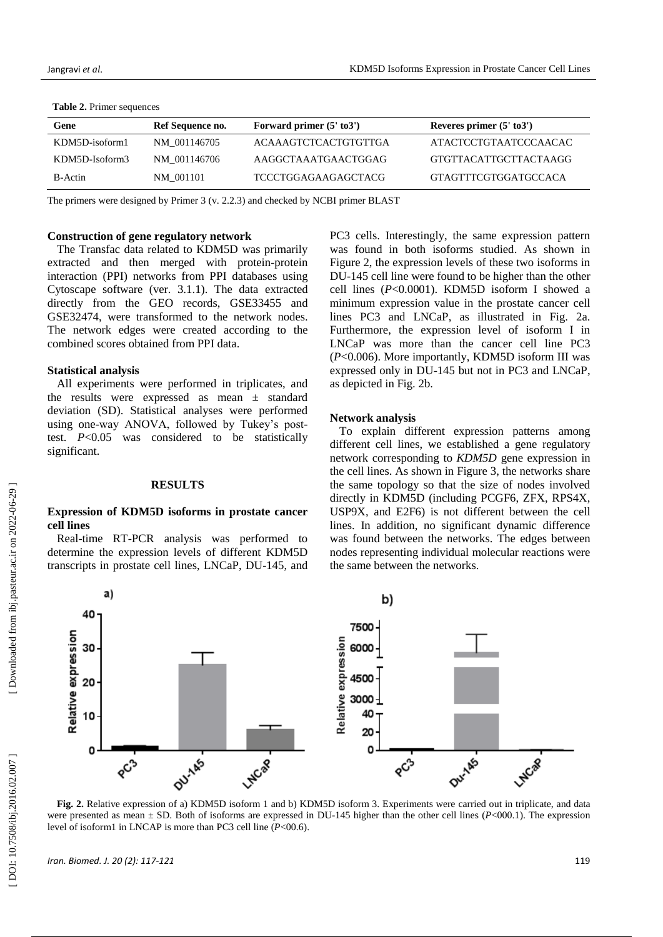| Gene           | Ref Sequence no. | Forward primer $(5' \text{ to } 3')$ | Reveres primer $(5' \text{ to } 3')$ |
|----------------|------------------|--------------------------------------|--------------------------------------|
| KDM5D-isoform1 | NM 001146705     | ACAAAGTCTCACTGTGTTGA                 | ATACTCCTGTAATCCCAACAC                |
| KDM5D-Isoform3 | NM 001146706     | AAGGCTAAATGAACTGGAG                  | GTGTTACATTGCTTACTAAGG                |
| B-Actin        | NM 001101        | TCCCTGGAGAAGAGCTACG                  | GTAGTTTCGTGGATGCCACA                 |

#### **Table 2.** Primer sequences

The primers were designed by Primer 3 (v. 2.2.3) and checked by NCBI primer BLAST

## **Construction of gene regulatory network**

The Transfac data related to KDM5D was primarily extracted and then merged with protein -protein interaction (PPI) networks from PPI databases using Cytoscape software (ver. 3.1.1). The data extracted directly from the GEO records , GSE33455 and GSE32474, were transformed to the network nodes. The network edges were created according to the combined scores obtained from PPI data.

## **Statistical analys i s**

All experiments were performed in triplicates , and the results were expressed as mean ± standard deviation (SD). Statistical analyses were performed using one -way ANOVA, followed by Tukey's post test. *P*<0.05 was considered to be statistically significant.

## **RESULTS**

## **Expression of KDM5D isoforms in prostate cancer cell lines**

Real -time RT -PCR analysis was performed to determine the expression level s of different KDM5D transcripts in prostate cell lines, LNCaP, DU -145, and PC3 cells. Interestingly, the same expression pattern was found in both isoforms studied. As shown in Figure 2, the expression levels of these two isoforms in DU -145 cell line were found to be higher than the other cell lines ( *P*<0.0001). KDM5D isoform I showed a minimum expression value in the prostate cancer cell lines PC3 and LNCaP, as illustrated in Fig. 2a. Furthermore, the expression level of isoform I in LNCaP was more than the cancer cell line PC3 (*P*<0.006). More importantly, KDM5D isoform III was expressed only in DU -145 but not in PC3 and LNCaP, as depicted in Fig. 2b .

## **Network analysis**

To explain different expression patterns among different cell lines, we established a gene regulatory network corresponding to *KDM5D* gene expression in the cell lines. As shown in Figure 3, the networks share the same topology so that the size of nodes involved directly in KDM5D (including PCGF6, ZFX, RPS4X, USP9X , and E2F6) is not different between the cell lines. In addition, no significant dynamic difference was found between the networks. The edges between nodes representing individual molecular reactions were the same between the networks.



**Fig. 2 .** Relative expression of a) KDM5D isoform 1 and b) KDM5D isoform 3. Experiments were carried out in triplicate, and data were presented as mean  $\pm$  SD. Both of isoforms are expressed in DU-145 higher than the other cell lines (P<000.1). The expression level of isoform1 in LNCAP is more than PC3 cell line ( *P*<00.6).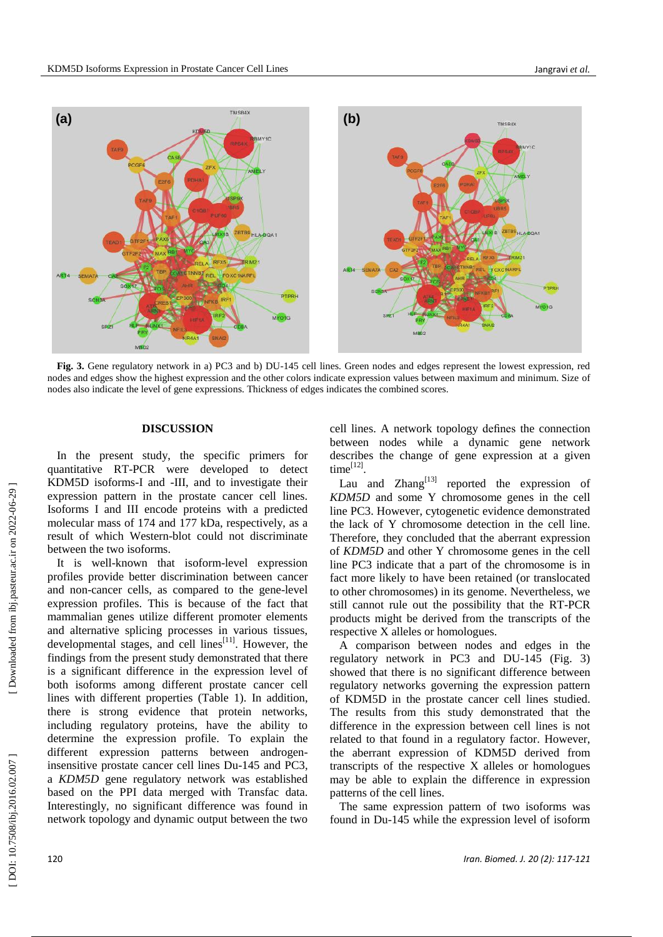

Fig. 3. Gene regulatory network in a) PC3 and b) DU-145 cell lines. Green nodes and edges represent the lowest expression, red nodes and edges show the highest expression and the other colors indicate expression values between maximum and minimum. Size of nodes also indicate the level of gene expression s. Thickness of edges indicates the combined scores.

## **DISCUSSION**

In the present study, the specific primers for quantitative RT -PCR were developed to detect KDM5D isoforms - I and -III, and to investigate their expression pattern in the prostate cancer cell lines. Isoforms I and III encode proteins with a predicted molecular mass of 174 and 177 kDa, respectively, as a result of which Western -blot could not discriminate between the two isoforms .

It is well -known that isoform -level expression profiles provide better discrimination between cancer and non -cancer cells , as compared to the gene -level expression profiles. This is because of the fact that mammalian genes utilize different promoter elements and alternative splicing processes in various tissues, developmental stages, and cell lines<sup>[11]</sup>. However, the findings from the present study demonstrated that there is a significant difference in the expression level of both isoforms among different prostate cancer cell lines with different properties (Table 1). In addition, there is strong evidence that protein networks, including regulatory protein s, have the ability to determine the expression profile. To explain the different expression patterns between androgeninsensitive prostate cancer cell lines Du -145 and PC3, a *KDM5D* gene regulatory network was established based on the PPI data merged with Transfac data. Interestingly, no significant difference was found in network topology and dynamic output between the two

cell lines. A network topology defines the connection between nodes while a dynamic gene network describe s the change of gene expression at a given  $time^{[12]}$ .

Lau and  $\text{Zhang}^{[13]}$  reported the expression of *KDM5D* and some Y chromosome genes in the cell line PC3. However, cytogenetic evidence demonstrated the lack of Y chromosome detection in the cell line. Therefore, they concluded that the aberrant expression of *KDM5D* and other Y chromosome genes in the cell line PC3 indicate that a part of the chromosome is in fact more likely to have been retained (or translocated to other chromosomes) in its genome. Nevertheless, we still cannot rule out the possibility that the RT -PCR products might be derived from the transcripts of the respective X alleles or homologues.

A comparison between nodes and edges in the regulatory network in PC3 and DU -145 (Fig. 3) showed that there is no significant difference between regulatory networks governing the expression pattern of KDM5D in the prostate cancer cell lines studied. The results from this study demonstrated that the difference in the expression between cell lines is not relate d to that found in a regulatory factor. However, the aberrant expression of KDM5D derived from transcripts of the respective X alleles or homologues may be able to explain the difference in expression patterns of the cell lines .

The same expression pattern of two isoforms was found in Du -145 while the expression level of isoform